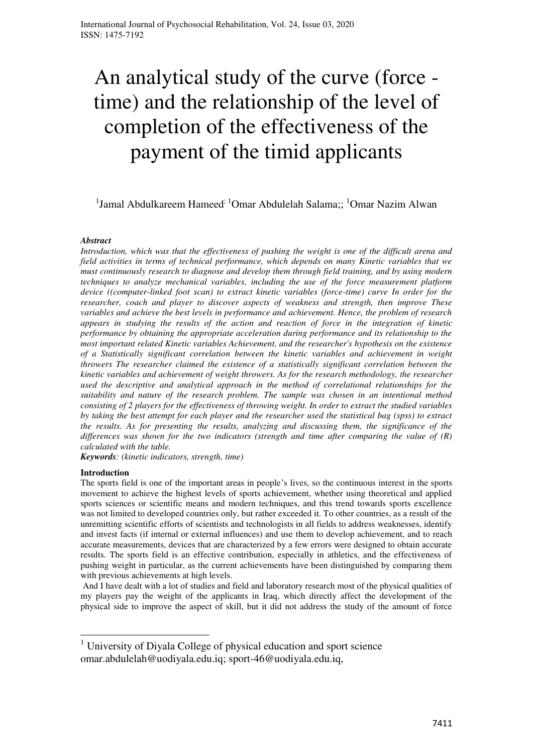# An analytical study of the curve (force time) and the relationship of the level of completion of the effectiveness of the payment of the timid applicants

# <sup>1</sup>Jamal Abdulkareem Hameed<sup>; 1</sup>Omar Abdulelah Salama;; <sup>1</sup>Omar Nazim Alwan

# *Abstract*

*Introduction, which was that the effectiveness of pushing the weight is one of the difficult arena and field activities in terms of technical performance, which depends on many Kinetic variables that we must continuously research to diagnose and develop them through field training, and by using modern techniques to analyze mechanical variables, including the use of the force measurement platform device ((computer-linked foot scan) to extract kinetic variables (force-time) curve In order for the researcher, coach and player to discover aspects of weakness and strength, then improve These variables and achieve the best levels in performance and achievement. Hence, the problem of research appears in studying the results of the action and reaction of force in the integration of kinetic performance by obtaining the appropriate acceleration during performance and its relationship to the most important related Kinetic variables Achievement, and the researcher's hypothesis on the existence of a Statistically significant correlation between the kinetic variables and achievement in weight throwers The researcher claimed the existence of a statistically significant correlation between the kinetic variables and achievement of weight throwers. As for the research methodology, the researcher used the descriptive and analytical approach in the method of correlational relationships for the suitability and nature of the research problem. The sample was chosen in an intentional method consisting of 2 players for the effectiveness of throwing weight. In order to extract the studied variables by taking the best attempt for each player and the researcher used the statistical bag (spss) to extract the results. As for presenting the results, analyzing and discussing them, the significance of the differences was shown for the two indicators (strength and time after comparing the value of (R) calculated with the table.* 

*Keywords: (kinetic indicators, strength, time)*

#### **Introduction**

 $\overline{a}$ 

The sports field is one of the important areas in people's lives, so the continuous interest in the sports movement to achieve the highest levels of sports achievement, whether using theoretical and applied sports sciences or scientific means and modern techniques, and this trend towards sports excellence was not limited to developed countries only, but rather exceeded it. To other countries, as a result of the unremitting scientific efforts of scientists and technologists in all fields to address weaknesses, identify and invest facts (if internal or external influences) and use them to develop achievement, and to reach accurate measurements, devices that are characterized by a few errors were designed to obtain accurate results. The sports field is an effective contribution, especially in athletics, and the effectiveness of pushing weight in particular, as the current achievements have been distinguished by comparing them with previous achievements at high levels.

 And I have dealt with a lot of studies and field and laboratory research most of the physical qualities of my players pay the weight of the applicants in Iraq, which directly affect the development of the physical side to improve the aspect of skill, but it did not address the study of the amount of force

<sup>&</sup>lt;sup>1</sup> University of Diyala College of physical education and sport science [omar.abdulelah@uodiyala.edu.iq;](mailto:alqysymr457@gmail.com) sport-46@uodiyala.edu.iq,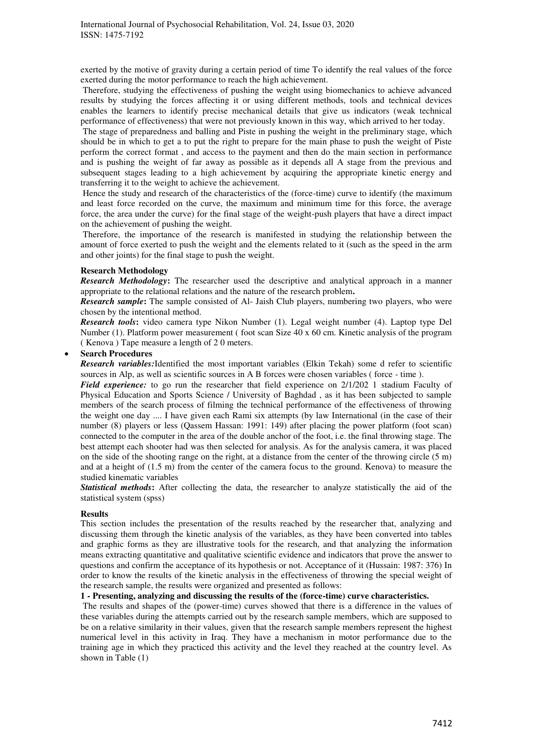exerted by the motive of gravity during a certain period of time To identify the real values of the force exerted during the motor performance to reach the high achievement.

 Therefore, studying the effectiveness of pushing the weight using biomechanics to achieve advanced results by studying the forces affecting it or using different methods, tools and technical devices enables the learners to identify precise mechanical details that give us indicators (weak technical performance of effectiveness) that were not previously known in this way, which arrived to her today.

 The stage of preparedness and balling and Piste in pushing the weight in the preliminary stage, which should be in which to get a to put the right to prepare for the main phase to push the weight of Piste perform the correct format , and access to the payment and then do the main section in performance and is pushing the weight of far away as possible as it depends all A stage from the previous and subsequent stages leading to a high achievement by acquiring the appropriate kinetic energy and transferring it to the weight to achieve the achievement.

 Hence the study and research of the characteristics of the (force-time) curve to identify (the maximum and least force recorded on the curve, the maximum and minimum time for this force, the average force, the area under the curve) for the final stage of the weight-push players that have a direct impact on the achievement of pushing the weight.

 Therefore, the importance of the research is manifested in studying the relationship between the amount of force exerted to push the weight and the elements related to it (such as the speed in the arm and other joints) for the final stage to push the weight.

# **Research Methodology**

*Research Methodology***:** The researcher used the descriptive and analytical approach in a manner appropriate to the relational relations and the nature of the research problem**.** 

*Research sample***:** The sample consisted of Al- Jaish Club players, numbering two players, who were chosen by the intentional method.

*Research tools***:** video camera type Nikon Number (1). Legal weight number (4). Laptop type Del Number (1). Platform power measurement ( foot scan Size 40 x 60 cm. Kinetic analysis of the program ( Kenova ) Tape measure a length of 2 0 meters.

## **Search Procedures**

*Research variables:*Identified the most important variables (Elkin Tekah) some d refer to scientific sources in Alp, as well as scientific sources in A B forces were chosen variables ( force - time ).

*Field experience:* to go run the researcher that field experience on 2/1/202 1 stadium Faculty of Physical Education and Sports Science / University of Baghdad , as it has been subjected to sample members of the search process of filming the technical performance of the effectiveness of throwing the weight one day .... I have given each Rami six attempts (by law International (in the case of their number (8) players or less (Qassem Hassan: 1991: 149) after placing the power platform (foot scan) connected to the computer in the area of the double anchor of the foot, i.e. the final throwing stage. The best attempt each shooter had was then selected for analysis. As for the analysis camera, it was placed on the side of the shooting range on the right, at a distance from the center of the throwing circle (5 m) and at a height of (1.5 m) from the center of the camera focus to the ground. Kenova) to measure the studied kinematic variables

*Statistical methods***:** After collecting the data, the researcher to analyze statistically the aid of the statistical system (spss)

#### **Results**

This section includes the presentation of the results reached by the researcher that, analyzing and discussing them through the kinetic analysis of the variables, as they have been converted into tables and graphic forms as they are illustrative tools for the research, and that analyzing the information means extracting quantitative and qualitative scientific evidence and indicators that prove the answer to questions and confirm the acceptance of its hypothesis or not. Acceptance of it (Hussain: 1987: 376) In order to know the results of the kinetic analysis in the effectiveness of throwing the special weight of the research sample, the results were organized and presented as follows:

## **1 - Presenting, analyzing and discussing the results of the (force-time) curve characteristics.**

 The results and shapes of the (power-time) curves showed that there is a difference in the values of these variables during the attempts carried out by the research sample members, which are supposed to be on a relative similarity in their values, given that the research sample members represent the highest numerical level in this activity in Iraq. They have a mechanism in motor performance due to the training age in which they practiced this activity and the level they reached at the country level. As shown in Table (1)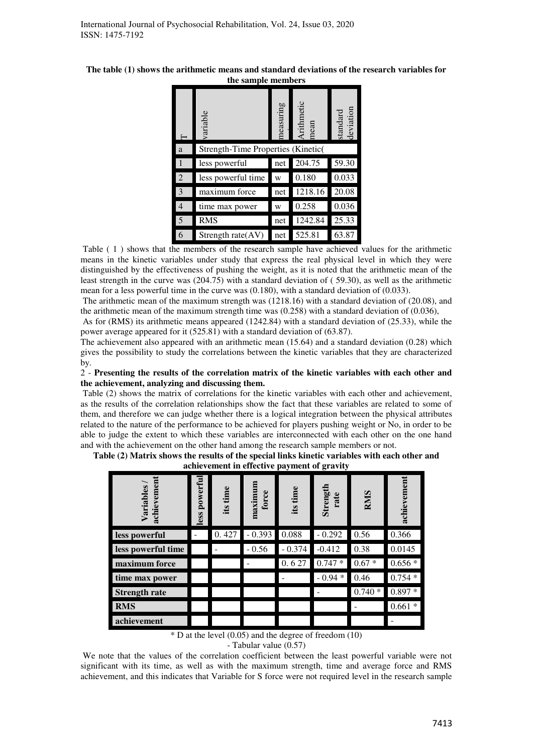| The table (1) shows the arithmetic means and standard deviations of the research variables for |
|------------------------------------------------------------------------------------------------|
| the sample members                                                                             |

|                | variable                           | neasuring | Arithmetic<br>mean | standard<br>deviation |  |  |  |  |
|----------------|------------------------------------|-----------|--------------------|-----------------------|--|--|--|--|
| a              | Strength-Time Properties (Kinetic) |           |                    |                       |  |  |  |  |
|                | less powerful                      | net       | 204.75             | 59.30                 |  |  |  |  |
| 2              | less powerful time                 | W         | 0.180              | 0.033                 |  |  |  |  |
| 3              | maximum force                      | net       | 1218.16            | 20.08                 |  |  |  |  |
| $\overline{4}$ | time max power                     | W         | 0.258              | 0.036                 |  |  |  |  |
| 5              | <b>RMS</b>                         | net       | 1242.84            | 25.33                 |  |  |  |  |
| 6              | Strength rate $(AV)$               | net       | 525.81             | 63.87                 |  |  |  |  |

Table ( 1 ) shows that the members of the research sample have achieved values for the arithmetic means in the kinetic variables under study that express the real physical level in which they were distinguished by the effectiveness of pushing the weight, as it is noted that the arithmetic mean of the least strength in the curve was (204.75) with a standard deviation of ( 59.30), as well as the arithmetic mean for a less powerful time in the curve was (0.180), with a standard deviation of (0.033).

 The arithmetic mean of the maximum strength was (1218.16) with a standard deviation of (20.08), and the arithmetic mean of the maximum strength time was (0.258) with a standard deviation of (0.036),

 As for (RMS) its arithmetic means appeared (1242.84) with a standard deviation of (25.33), while the power average appeared for it (525.81) with a standard deviation of (63.87).

The achievement also appeared with an arithmetic mean (15.64) and a standard deviation (0.28) which gives the possibility to study the correlations between the kinetic variables that they are characterized by.

2 - **Presenting the results of the correlation matrix of the kinetic variables with each other and the achievement, analyzing and discussing them.**

 Table (2) shows the matrix of correlations for the kinetic variables with each other and achievement, as the results of the correlation relationships show the fact that these variables are related to some of them, and therefore we can judge whether there is a logical integration between the physical attributes related to the nature of the performance to be achieved for players pushing weight or No, in order to be able to judge the extent to which these variables are interconnected with each other on the one hand and with the achievement on the other hand among the research sample members or not.

| achievement in effective payment of gravity |                 |             |                  |          |                  |            |             |
|---------------------------------------------|-----------------|-------------|------------------|----------|------------------|------------|-------------|
| achievemen<br>Variables                     | powerful<br>ess | time<br>its | maximum<br>force | its time | Strength<br>rate | <b>RMS</b> | achievement |
| less powerful                               |                 | 0.427       | $-0.393$         | 0.088    | $-0.292$         | 0.56       | 0.366       |
| less powerful time                          |                 |             | $-0.56$          | $-0.374$ | $-0.412$         | 0.38       | 0.0145      |
| maximum force                               |                 |             |                  | 0.627    | 0.747<br>∗       | $0.67 *$   | $0.656*$    |
| time max power                              |                 |             |                  |          | $-0.94*$         | 0.46       | $0.754*$    |
| <b>Strength rate</b>                        |                 |             |                  |          |                  | $0.740*$   | $0.897*$    |
| <b>RMS</b>                                  |                 |             |                  |          |                  |            | $0.661*$    |
| achievement                                 |                 |             |                  |          |                  |            |             |

**Table (2) Matrix shows the results of the special links kinetic variables with each other and achievement in effective payment of gravity** 

 $*$  D at the level (0.05) and the degree of freedom (10)

- Tabular value (0.57)

 We note that the values of the correlation coefficient between the least powerful variable were not significant with its time, as well as with the maximum strength, time and average force and RMS achievement, and this indicates that Variable for S force were not required level in the research sample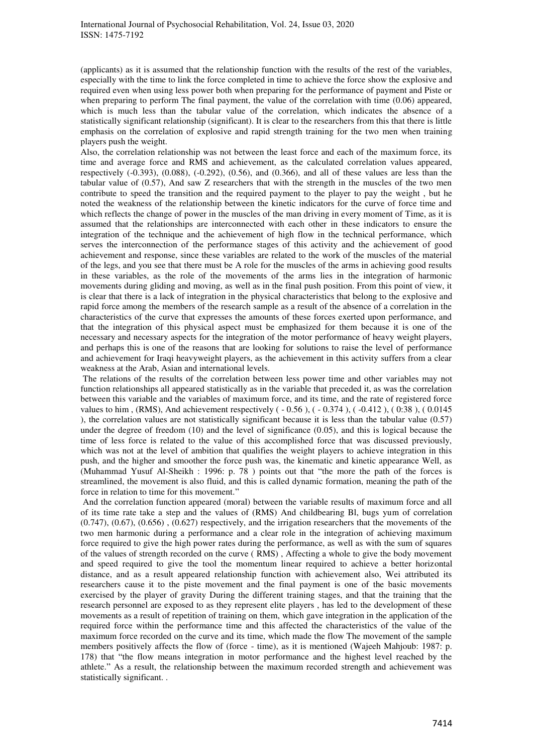(applicants) as it is assumed that the relationship function with the results of the rest of the variables, especially with the time to link the force completed in time to achieve the force show the explosive and required even when using less power both when preparing for the performance of payment and Piste or when preparing to perform The final payment, the value of the correlation with time (0.06) appeared, which is much less than the tabular value of the correlation, which indicates the absence of a statistically significant relationship (significant). It is clear to the researchers from this that there is little emphasis on the correlation of explosive and rapid strength training for the two men when training players push the weight.

Also, the correlation relationship was not between the least force and each of the maximum force, its time and average force and RMS and achievement, as the calculated correlation values appeared, respectively (-0.393), (0.088), (-0.292), (0.56), and (0.366), and all of these values are less than the tabular value of (0.57), And saw Z researchers that with the strength in the muscles of the two men contribute to speed the transition and the required payment to the player to pay the weight , but he noted the weakness of the relationship between the kinetic indicators for the curve of force time and which reflects the change of power in the muscles of the man driving in every moment of Time, as it is assumed that the relationships are interconnected with each other in these indicators to ensure the integration of the technique and the achievement of high flow in the technical performance, which serves the interconnection of the performance stages of this activity and the achievement of good achievement and response, since these variables are related to the work of the muscles of the material of the legs, and you see that there must be A role for the muscles of the arms in achieving good results in these variables, as the role of the movements of the arms lies in the integration of harmonic movements during gliding and moving, as well as in the final push position. From this point of view, it is clear that there is a lack of integration in the physical characteristics that belong to the explosive and rapid force among the members of the research sample as a result of the absence of a correlation in the characteristics of the curve that expresses the amounts of these forces exerted upon performance, and that the integration of this physical aspect must be emphasized for them because it is one of the necessary and necessary aspects for the integration of the motor performance of heavy weight players, and perhaps this is one of the reasons that are looking for solutions to raise the level of performance and achievement for Iraqi heavyweight players, as the achievement in this activity suffers from a clear weakness at the Arab, Asian and international levels.

 The relations of the results of the correlation between less power time and other variables may not function relationships all appeared statistically as in the variable that preceded it, as was the correlation between this variable and the variables of maximum force, and its time, and the rate of registered force values to him , (RMS), And achievement respectively ( - 0.56 ), ( - 0.374 ), ( -0.412 ), ( 0:38 ), ( 0.0145 ), the correlation values are not statistically significant because it is less than the tabular value (0.57) under the degree of freedom (10) and the level of significance (0.05), and this is logical because the time of less force is related to the value of this accomplished force that was discussed previously, which was not at the level of ambition that qualifies the weight players to achieve integration in this push, and the higher and smoother the force push was, the kinematic and kinetic appearance Well, as (Muhammad Yusuf Al-Sheikh : 1996: p. 78 ) points out that "the more the path of the forces is streamlined, the movement is also fluid, and this is called dynamic formation, meaning the path of the force in relation to time for this movement."

 And the correlation function appeared (moral) between the variable results of maximum force and all of its time rate take a step and the values of (RMS) And childbearing Bl, bugs yum of correlation  $(0.747)$ ,  $(0.67)$ ,  $(0.656)$ ,  $(0.627)$  respectively, and the irrigation researchers that the movements of the two men harmonic during a performance and a clear role in the integration of achieving maximum force required to give the high power rates during the performance, as well as with the sum of squares of the values of strength recorded on the curve ( RMS) , Affecting a whole to give the body movement and speed required to give the tool the momentum linear required to achieve a better horizontal distance, and as a result appeared relationship function with achievement also, Wei attributed its researchers cause it to the piste movement and the final payment is one of the basic movements exercised by the player of gravity During the different training stages, and that the training that the research personnel are exposed to as they represent elite players , has led to the development of these movements as a result of repetition of training on them, which gave integration in the application of the required force within the performance time and this affected the characteristics of the value of the maximum force recorded on the curve and its time, which made the flow The movement of the sample members positively affects the flow of (force - time), as it is mentioned (Wajeeh Mahjoub: 1987: p. 178) that "the flow means integration in motor performance and the highest level reached by the athlete." As a result, the relationship between the maximum recorded strength and achievement was statistically significant. .